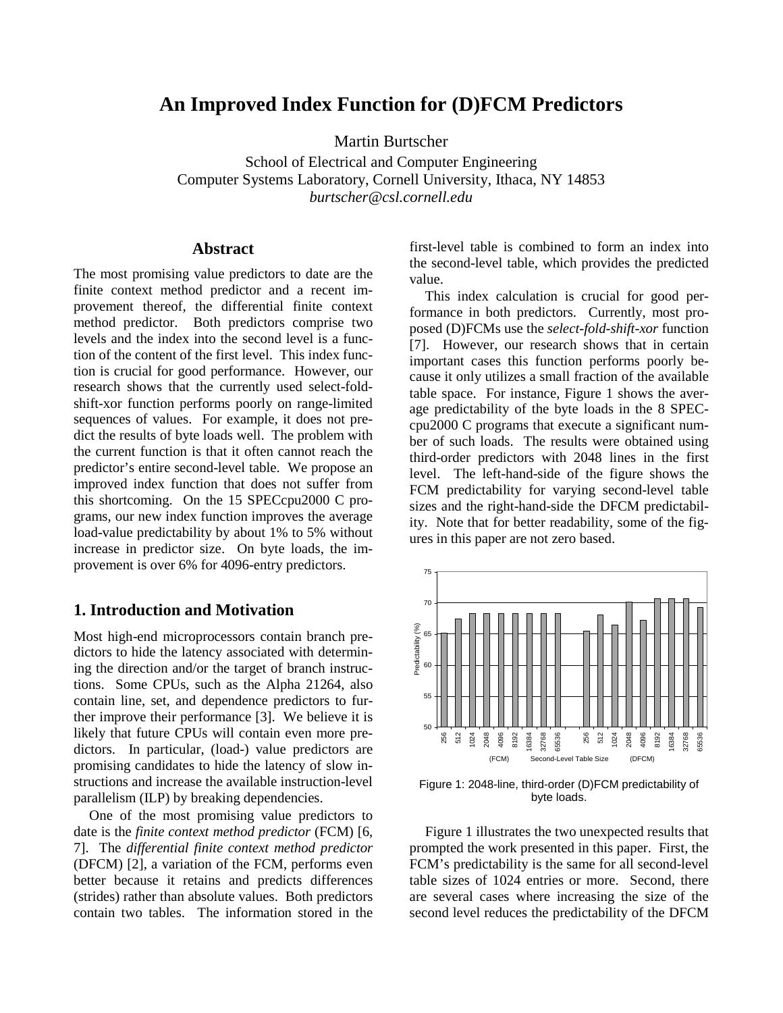# **An Improved Index Function for (D)FCM Predictors**

Martin Burtscher

School of Electrical and Computer Engineering Computer Systems Laboratory, Cornell University, Ithaca, NY 14853 *burtscher@csl.cornell.edu*

## **Abstract**

The most promising value predictors to date are the finite context method predictor and a recent improvement thereof, the differential finite context method predictor. Both predictors comprise two levels and the index into the second level is a function of the content of the first level. This index function is crucial for good performance. However, our research shows that the currently used select-foldshift-xor function performs poorly on range-limited sequences of values. For example, it does not predict the results of byte loads well. The problem with the current function is that it often cannot reach the predictor's entire second-level table. We propose an improved index function that does not suffer from this shortcoming. On the 15 SPECcpu2000 C programs, our new index function improves the average load-value predictability by about 1% to 5% without increase in predictor size. On byte loads, the improvement is over 6% for 4096-entry predictors.

# **1. Introduction and Motivation**

Most high-end microprocessors contain branch predictors to hide the latency associated with determining the direction and/or the target of branch instructions. Some CPUs, such as the Alpha 21264, also contain line, set, and dependence predictors to further improve their performance [3]. We believe it is likely that future CPUs will contain even more predictors. In particular, (load-) value predictors are promising candidates to hide the latency of slow instructions and increase the available instruction-level parallelism (ILP) by breaking dependencies.

One of the most promising value predictors to date is the *finite context method predictor* (FCM) [6, 7]. The *differential finite context method predictor* (DFCM) [2], a variation of the FCM, performs even better because it retains and predicts differences (strides) rather than absolute values. Both predictors contain two tables. The information stored in the

first-level table is combined to form an index into the second-level table, which provides the predicted value.

This index calculation is crucial for good performance in both predictors. Currently, most proposed (D)FCMs use the *select-fold-shift-xor* function [7]. However, our research shows that in certain important cases this function performs poorly because it only utilizes a small fraction of the available table space. For instance, Figure 1 shows the average predictability of the byte loads in the 8 SPECcpu2000 C programs that execute a significant number of such loads. The results were obtained using third-order predictors with 2048 lines in the first level. The left-hand-side of the figure shows the FCM predictability for varying second-level table sizes and the right-hand-side the DFCM predictability. Note that for better readability, some of the figures in this paper are not zero based.



Figure 1: 2048-line, third-order (D)FCM predictability of byte loads.

Figure 1 illustrates the two unexpected results that prompted the work presented in this paper. First, the FCM's predictability is the same for all second-level table sizes of 1024 entries or more. Second, there are several cases where increasing the size of the second level reduces the predictability of the DFCM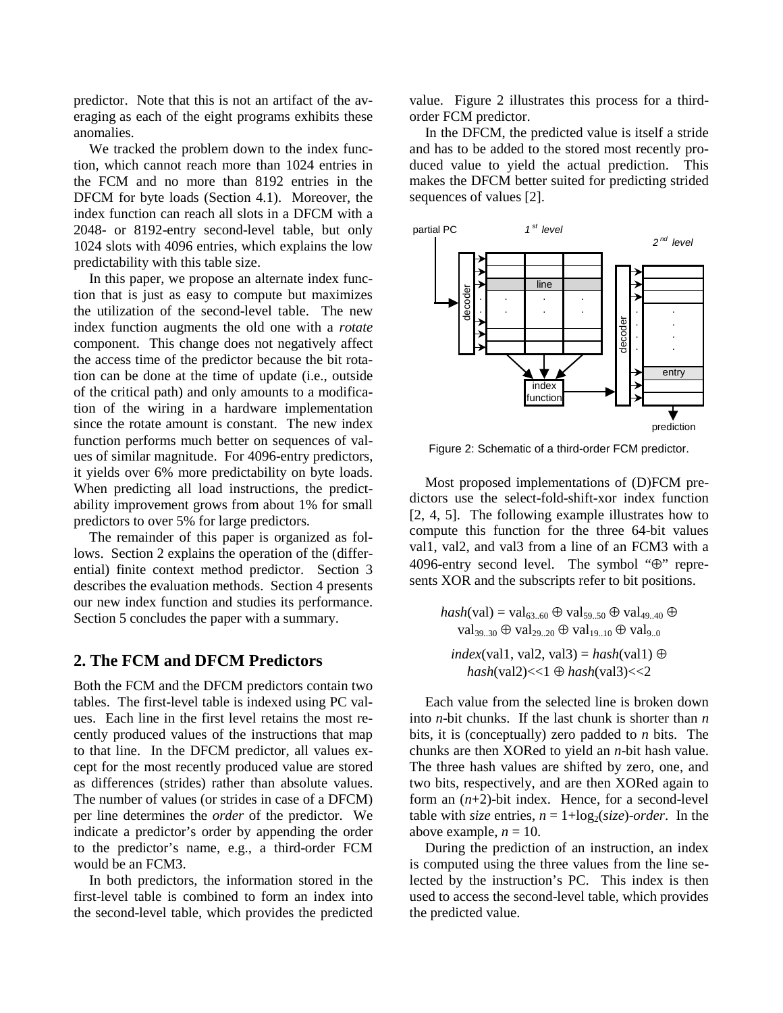predictor. Note that this is not an artifact of the averaging as each of the eight programs exhibits these anomalies.

We tracked the problem down to the index function, which cannot reach more than 1024 entries in the FCM and no more than 8192 entries in the DFCM for byte loads (Section 4.1). Moreover, the index function can reach all slots in a DFCM with a 2048- or 8192-entry second-level table, but only 1024 slots with 4096 entries, which explains the low predictability with this table size.

In this paper, we propose an alternate index function that is just as easy to compute but maximizes the utilization of the second-level table. The new index function augments the old one with a *rotate* component. This change does not negatively affect the access time of the predictor because the bit rotation can be done at the time of update (i.e., outside of the critical path) and only amounts to a modification of the wiring in a hardware implementation since the rotate amount is constant. The new index function performs much better on sequences of values of similar magnitude. For 4096-entry predictors, it yields over 6% more predictability on byte loads. When predicting all load instructions, the predictability improvement grows from about 1% for small predictors to over 5% for large predictors.

The remainder of this paper is organized as follows. Section 2 explains the operation of the (differential) finite context method predictor. Section 3 describes the evaluation methods. Section 4 presents our new index function and studies its performance. Section 5 concludes the paper with a summary.

## **2. The FCM and DFCM Predictors**

Both the FCM and the DFCM predictors contain two tables. The first-level table is indexed using PC values. Each line in the first level retains the most recently produced values of the instructions that map to that line. In the DFCM predictor, all values except for the most recently produced value are stored as differences (strides) rather than absolute values. The number of values (or strides in case of a DFCM) per line determines the *order* of the predictor. We indicate a predictor's order by appending the order to the predictor's name, e.g., a third-order FCM would be an FCM3.

In both predictors, the information stored in the first-level table is combined to form an index into the second-level table, which provides the predicted value. Figure 2 illustrates this process for a thirdorder FCM predictor.

In the DFCM, the predicted value is itself a stride and has to be added to the stored most recently produced value to yield the actual prediction. This makes the DFCM better suited for predicting strided sequences of values [2].



Figure 2: Schematic of a third-order FCM predictor.

Most proposed implementations of (D)FCM predictors use the select-fold-shift-xor index function [2, 4, 5]. The following example illustrates how to compute this function for the three 64-bit values val1, val2, and val3 from a line of an FCM3 with a 4096-entry second level. The symbol "⊕" represents XOR and the subscripts refer to bit positions.

 $hash(val) = val_{63..60} \oplus val_{59..50} \oplus val_{49..40} \oplus$  $val_{39,30} \oplus val_{29,20} \oplus val_{19,10} \oplus val_{9,0}$ 

*index*(val1, val2, val3) =  $hash$ (val1) ⊕ *hash*(val2)<<1 ⊕ *hash*(val3)<<2

Each value from the selected line is broken down into *n*-bit chunks. If the last chunk is shorter than *n* bits, it is (conceptually) zero padded to *n* bits. The chunks are then XORed to yield an *n*-bit hash value. The three hash values are shifted by zero, one, and two bits, respectively, and are then XORed again to form an (*n*+2)-bit index. Hence, for a second-level table with *size* entries,  $n = 1 + \log_2( \text{size})$ -order. In the above example,  $n = 10$ .

During the prediction of an instruction, an index is computed using the three values from the line selected by the instruction's PC. This index is then used to access the second-level table, which provides the predicted value.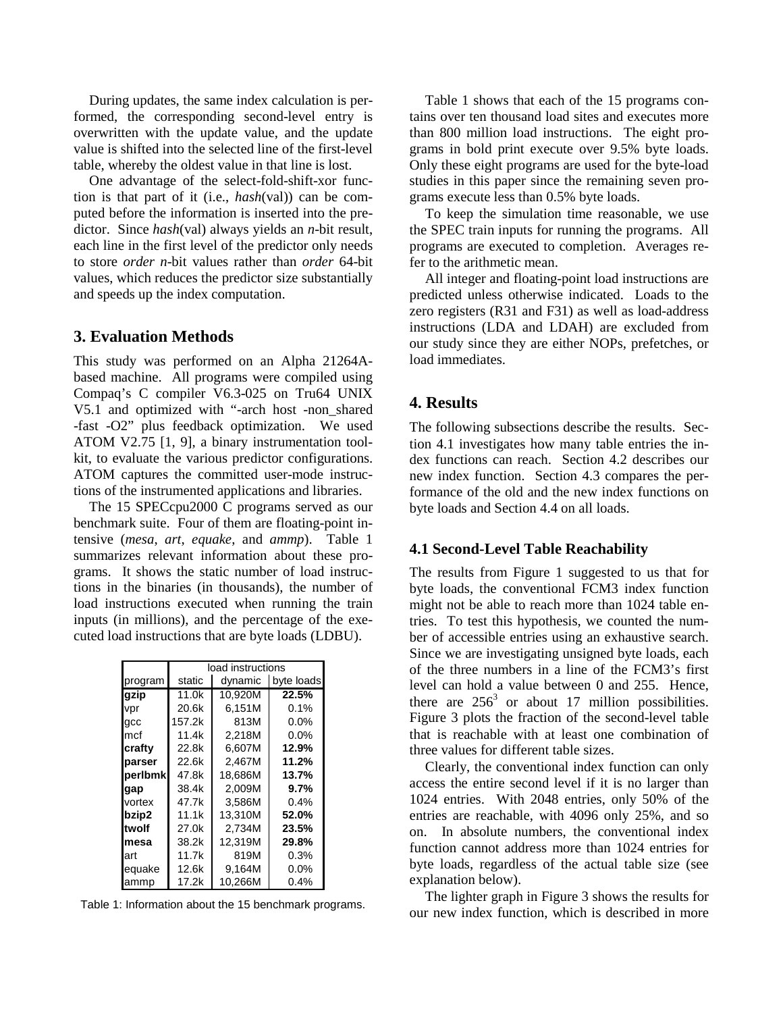During updates, the same index calculation is performed, the corresponding second-level entry is overwritten with the update value, and the update value is shifted into the selected line of the first-level table, whereby the oldest value in that line is lost.

One advantage of the select-fold-shift-xor function is that part of it (i.e., *hash*(val)) can be computed before the information is inserted into the predictor. Since *hash*(val) always yields an *n*-bit result, each line in the first level of the predictor only needs to store *order n*-bit values rather than *order* 64-bit values, which reduces the predictor size substantially and speeds up the index computation.

#### **3. Evaluation Methods**

This study was performed on an Alpha 21264Abased machine. All programs were compiled using Compaq's C compiler V6.3-025 on Tru64 UNIX V5.1 and optimized with "-arch host -non\_shared -fast -O2" plus feedback optimization. We used ATOM V2.75 [1, 9], a binary instrumentation toolkit, to evaluate the various predictor configurations. ATOM captures the committed user-mode instructions of the instrumented applications and libraries.

The 15 SPECcpu2000 C programs served as our benchmark suite. Four of them are floating-point intensive (*mesa*, *art*, *equake*, and *ammp*). Table 1 summarizes relevant information about these programs. It shows the static number of load instructions in the binaries (in thousands), the number of load instructions executed when running the train inputs (in millions), and the percentage of the executed load instructions that are byte loads (LDBU).

|         | load instructions |         |            |
|---------|-------------------|---------|------------|
| program | static            | dynamic | byte loads |
| gzip    | 11.0k             | 10.920M | 22.5%      |
| vpr     | 20.6k             | 6.151M  | $0.1\%$    |
| gcc     | 157.2k            | 813M    | 0.0%       |
| mcf     | 11.4k             | 2,218M  | 0.0%       |
| crafty  | 22.8k             | 6.607M  | 12.9%      |
| parser  | 22.6k             | 2.467M  | 11.2%      |
| perlbmk | 47.8k             | 18,686M | 13.7%      |
| gap     | 38.4k             | 2.009M  | $9.7\%$    |
| vortex  | 47.7k             | 3,586M  | $0.4\%$    |
| bzip2   | 11.1k             | 13.310M | 52.0%      |
| ltwolf  | 27.0k             | 2.734M  | 23.5%      |
| mesa    | 38.2k             | 12,319M | 29.8%      |
| art     | 11.7k             | 819M    | 0.3%       |
| equake  | 12.6k             | 9.164M  | $0.0\%$    |
| ammp    | 17.2k             | 10,266M | 0.4%       |

Table 1: Information about the 15 benchmark programs.

Table 1 shows that each of the 15 programs contains over ten thousand load sites and executes more than 800 million load instructions. The eight programs in bold print execute over 9.5% byte loads. Only these eight programs are used for the byte-load studies in this paper since the remaining seven programs execute less than 0.5% byte loads.

To keep the simulation time reasonable, we use the SPEC train inputs for running the programs. All programs are executed to completion. Averages refer to the arithmetic mean.

All integer and floating-point load instructions are predicted unless otherwise indicated. Loads to the zero registers (R31 and F31) as well as load-address instructions (LDA and LDAH) are excluded from our study since they are either NOPs, prefetches, or load immediates.

# **4. Results**

The following subsections describe the results. Section 4.1 investigates how many table entries the index functions can reach. Section 4.2 describes our new index function. Section 4.3 compares the performance of the old and the new index functions on byte loads and Section 4.4 on all loads.

#### **4.1 Second-Level Table Reachability**

The results from Figure 1 suggested to us that for byte loads, the conventional FCM3 index function might not be able to reach more than 1024 table entries. To test this hypothesis, we counted the number of accessible entries using an exhaustive search. Since we are investigating unsigned byte loads, each of the three numbers in a line of the FCM3's first level can hold a value between 0 and 255. Hence, there are  $256<sup>3</sup>$  or about 17 million possibilities. Figure 3 plots the fraction of the second-level table that is reachable with at least one combination of three values for different table sizes.

Clearly, the conventional index function can only access the entire second level if it is no larger than 1024 entries. With 2048 entries, only 50% of the entries are reachable, with 4096 only 25%, and so on. In absolute numbers, the conventional index function cannot address more than 1024 entries for byte loads, regardless of the actual table size (see explanation below).

The lighter graph in Figure 3 shows the results for our new index function, which is described in more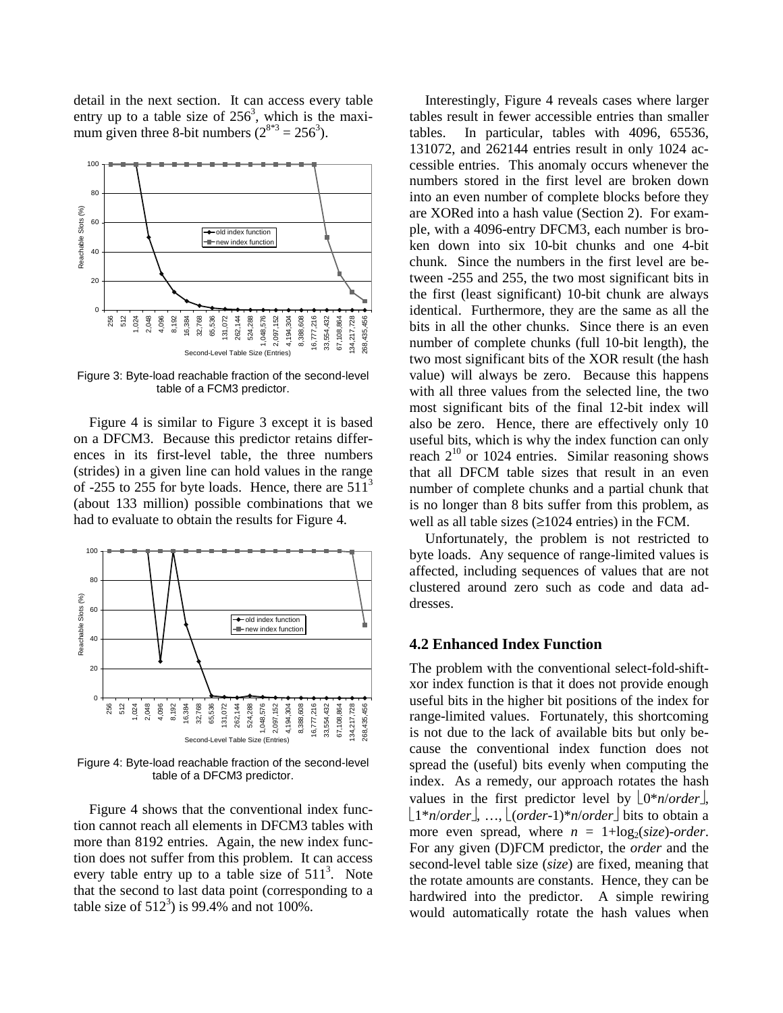detail in the next section. It can access every table entry up to a table size of  $256<sup>3</sup>$ , which is the maximum given three 8-bit numbers  $(2^{8*3} = 256^3)$ .



Figure 3: Byte-load reachable fraction of the second-level table of a FCM3 predictor.

Figure 4 is similar to Figure 3 except it is based on a DFCM3. Because this predictor retains differences in its first-level table, the three numbers (strides) in a given line can hold values in the range of -255 to 255 for byte loads. Hence, there are  $511<sup>3</sup>$ (about 133 million) possible combinations that we had to evaluate to obtain the results for Figure 4.



Figure 4: Byte-load reachable fraction of the second-level table of a DFCM3 predictor.

Figure 4 shows that the conventional index function cannot reach all elements in DFCM3 tables with more than 8192 entries. Again, the new index function does not suffer from this problem. It can access every table entry up to a table size of  $511<sup>3</sup>$ . Note that the second to last data point (corresponding to a table size of  $512^3$ ) is 99.4% and not 100%.

Interestingly, Figure 4 reveals cases where larger tables result in fewer accessible entries than smaller tables. In particular, tables with 4096, 65536, 131072, and 262144 entries result in only 1024 accessible entries. This anomaly occurs whenever the numbers stored in the first level are broken down into an even number of complete blocks before they are XORed into a hash value (Section 2). For example, with a 4096-entry DFCM3, each number is broken down into six 10-bit chunks and one 4-bit chunk. Since the numbers in the first level are between -255 and 255, the two most significant bits in the first (least significant) 10-bit chunk are always identical. Furthermore, they are the same as all the bits in all the other chunks. Since there is an even number of complete chunks (full 10-bit length), the two most significant bits of the XOR result (the hash value) will always be zero. Because this happens with all three values from the selected line, the two most significant bits of the final 12-bit index will also be zero. Hence, there are effectively only 10 useful bits, which is why the index function can only reach  $2^{10}$  or 1024 entries. Similar reasoning shows that all DFCM table sizes that result in an even number of complete chunks and a partial chunk that is no longer than 8 bits suffer from this problem, as well as all table sizes  $(\geq 1024$  entries) in the FCM.

Unfortunately, the problem is not restricted to byte loads. Any sequence of range-limited values is affected, including sequences of values that are not clustered around zero such as code and data addresses.

#### **4.2 Enhanced Index Function**

The problem with the conventional select-fold-shiftxor index function is that it does not provide enough useful bits in the higher bit positions of the index for range-limited values. Fortunately, this shortcoming is not due to the lack of available bits but only because the conventional index function does not spread the (useful) bits evenly when computing the index. As a remedy, our approach rotates the hash values in the first predictor level by  $\lfloor 0^*n/order \rfloor$ ,  $\lfloor 1^*n/order \rfloor$ , ...,  $\lfloor (order-1)^*n/order \rfloor$  bits to obtain a more even spread, where  $n = 1 + \log_2( \text{size})$ -order. For any given (D)FCM predictor, the *order* and the second-level table size (*size*) are fixed, meaning that the rotate amounts are constants. Hence, they can be hardwired into the predictor. A simple rewiring would automatically rotate the hash values when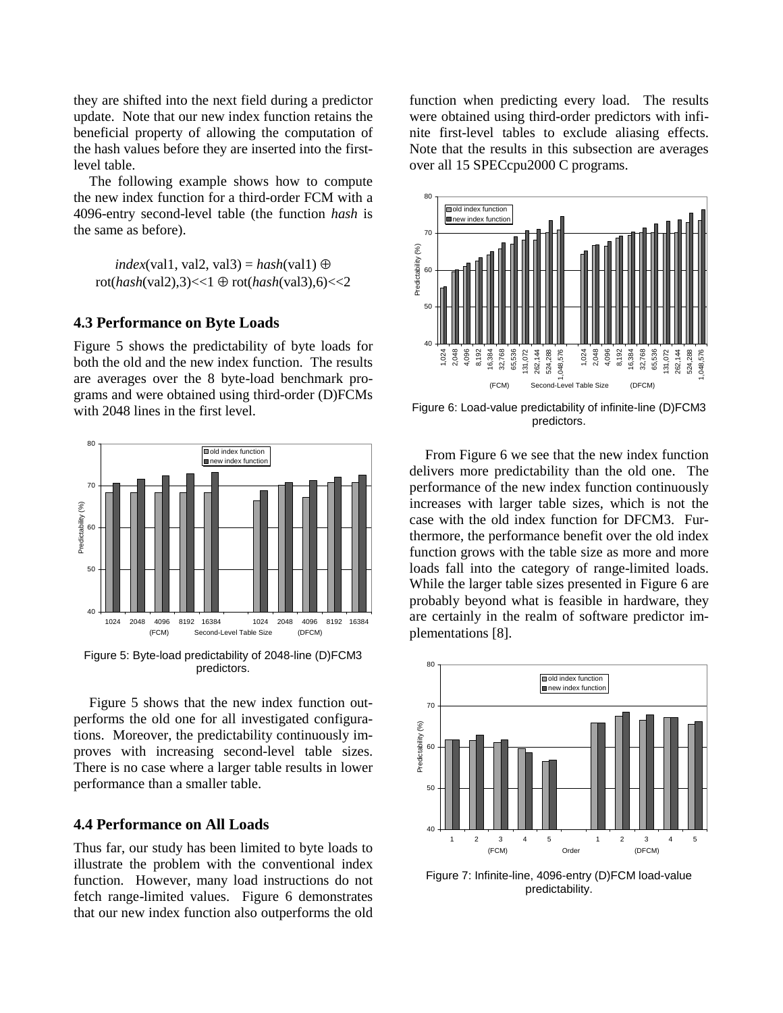they are shifted into the next field during a predictor update. Note that our new index function retains the beneficial property of allowing the computation of the hash values before they are inserted into the firstlevel table.

The following example shows how to compute the new index function for a third-order FCM with a 4096-entry second-level table (the function *hash* is the same as before).

*index*(val1, val2, val3) =  $hash(\text{val1}) \oplus$ rot(*hash*(val2),3)<<1 ⊕ rot(*hash*(val3),6)<<2

# **4.3 Performance on Byte Loads**

Figure 5 shows the predictability of byte loads for both the old and the new index function. The results are averages over the 8 byte-load benchmark programs and were obtained using third-order (D)FCMs with 2048 lines in the first level.



Figure 5: Byte-load predictability of 2048-line (D)FCM3 predictors.

Figure 5 shows that the new index function outperforms the old one for all investigated configurations. Moreover, the predictability continuously improves with increasing second-level table sizes. There is no case where a larger table results in lower performance than a smaller table.

### **4.4 Performance on All Loads**

Thus far, our study has been limited to byte loads to illustrate the problem with the conventional index function. However, many load instructions do not fetch range-limited values. Figure 6 demonstrates that our new index function also outperforms the old

function when predicting every load. The results were obtained using third-order predictors with infinite first-level tables to exclude aliasing effects. Note that the results in this subsection are averages over all 15 SPECcpu2000 C programs.



Figure 6: Load-value predictability of infinite-line (D)FCM3 predictors.

From Figure 6 we see that the new index function delivers more predictability than the old one. The performance of the new index function continuously increases with larger table sizes, which is not the case with the old index function for DFCM3. Furthermore, the performance benefit over the old index function grows with the table size as more and more loads fall into the category of range-limited loads. While the larger table sizes presented in Figure 6 are probably beyond what is feasible in hardware, they are certainly in the realm of software predictor implementations [8].



Figure 7: Infinite-line, 4096-entry (D)FCM load-value predictability.